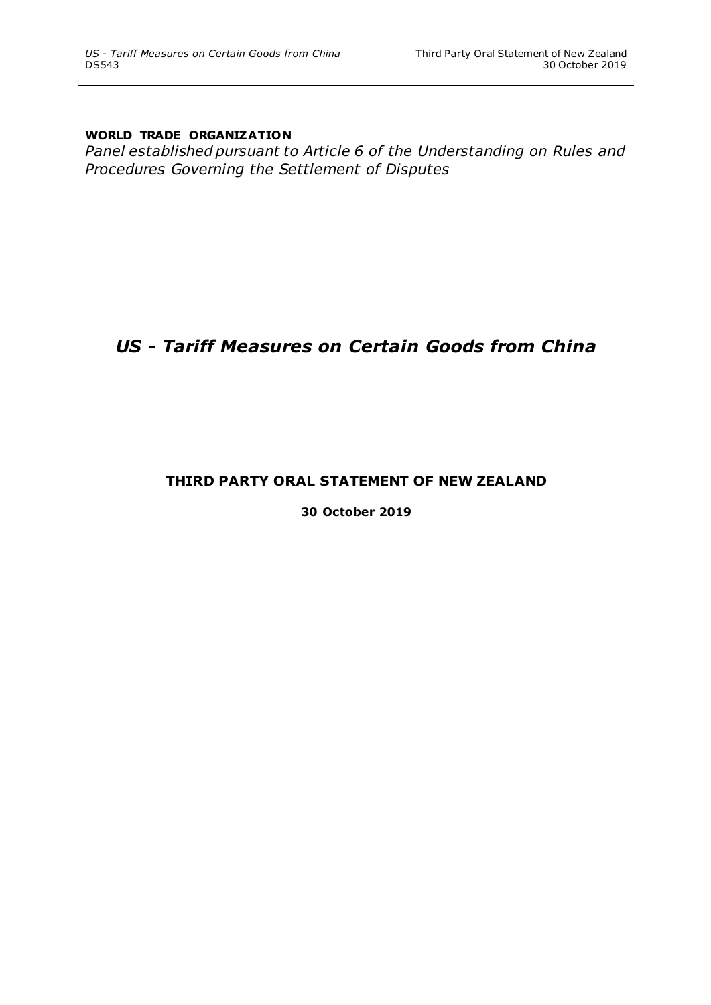### **WORLD TRADE ORGANIZATION**

*Panel established pursuant to Article 6 of the Understanding on Rules and Procedures Governing the Settlement of Disputes*

# *US - Tariff Measures on Certain Goods from China*

## **THIRD PARTY ORAL STATEMENT OF NEW ZEALAND**

**30 October 2019**